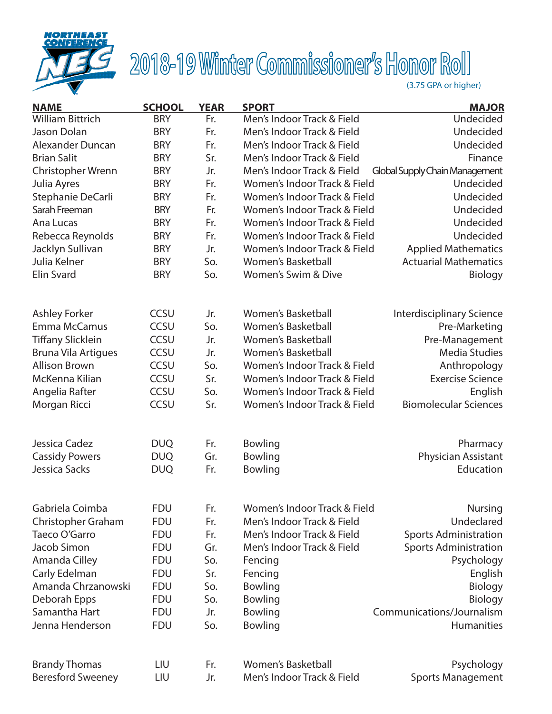

# 2018-19 Winter Commissioner's Honor Roll

| <b>NAME</b>                | <b>SCHOOL</b> | <b>YEAR</b> | <b>SPORT</b>                 | <b>MAJOR</b>                     |
|----------------------------|---------------|-------------|------------------------------|----------------------------------|
| <b>William Bittrich</b>    | <b>BRY</b>    | Fr.         | Men's Indoor Track & Field   | Undecided                        |
| Jason Dolan                | <b>BRY</b>    | Fr.         | Men's Indoor Track & Field   | Undecided                        |
| Alexander Duncan           | <b>BRY</b>    | Fr.         | Men's Indoor Track & Field   | Undecided                        |
| <b>Brian Salit</b>         | <b>BRY</b>    | Sr.         | Men's Indoor Track & Field   | Finance                          |
| Christopher Wrenn          | <b>BRY</b>    | Jr.         | Men's Indoor Track & Field   | Global Supply Chain Management   |
| Julia Ayres                | <b>BRY</b>    | Fr.         | Women's Indoor Track & Field | Undecided                        |
| Stephanie DeCarli          | <b>BRY</b>    | Fr.         | Women's Indoor Track & Field | Undecided                        |
| Sarah Freeman              | <b>BRY</b>    | Fr.         | Women's Indoor Track & Field | Undecided                        |
| Ana Lucas                  | <b>BRY</b>    | Fr.         | Women's Indoor Track & Field | Undecided                        |
| Rebecca Reynolds           | <b>BRY</b>    | Fr.         | Women's Indoor Track & Field | Undecided                        |
| Jacklyn Sullivan           | <b>BRY</b>    | Jr.         | Women's Indoor Track & Field | <b>Applied Mathematics</b>       |
| Julia Kelner               | <b>BRY</b>    | So.         | <b>Women's Basketball</b>    | <b>Actuarial Mathematics</b>     |
| Elin Svard                 | <b>BRY</b>    | So.         | Women's Swim & Dive          | Biology                          |
| <b>Ashley Forker</b>       | <b>CCSU</b>   | Jr.         | <b>Women's Basketball</b>    | <b>Interdisciplinary Science</b> |
| Emma McCamus               | CCSU          | So.         | <b>Women's Basketball</b>    | Pre-Marketing                    |
| <b>Tiffany Slicklein</b>   | <b>CCSU</b>   | Jr.         | <b>Women's Basketball</b>    | Pre-Management                   |
| <b>Bruna Vila Artigues</b> | CCSU          | Jr.         | <b>Women's Basketball</b>    | <b>Media Studies</b>             |
| <b>Allison Brown</b>       | CCSU          | So.         | Women's Indoor Track & Field | Anthropology                     |
| McKenna Kilian             | CCSU          | Sr.         | Women's Indoor Track & Field | <b>Exercise Science</b>          |
| Angelia Rafter             | CCSU          | So.         | Women's Indoor Track & Field | English                          |
| Morgan Ricci               | <b>CCSU</b>   | Sr.         | Women's Indoor Track & Field | <b>Biomolecular Sciences</b>     |
|                            |               |             |                              |                                  |
| Jessica Cadez              | <b>DUQ</b>    | Fr.         | <b>Bowling</b>               | Pharmacy                         |
| <b>Cassidy Powers</b>      | <b>DUQ</b>    | Gr.         | <b>Bowling</b>               | Physician Assistant              |
| Jessica Sacks              | <b>DUQ</b>    | Fr.         | Bowling                      | Education                        |
| Gabriela Coimba            | <b>FDU</b>    | Fr.         | Women's Indoor Track & Field | <b>Nursing</b>                   |
| Christopher Graham         | <b>FDU</b>    | Fr.         | Men's Indoor Track & Field   | Undeclared                       |
| Taeco O'Garro              | <b>FDU</b>    | Fr.         | Men's Indoor Track & Field   | <b>Sports Administration</b>     |
| Jacob Simon                | <b>FDU</b>    | Gr.         | Men's Indoor Track & Field   | <b>Sports Administration</b>     |
| Amanda Cilley              | <b>FDU</b>    | So.         | Fencing                      | Psychology                       |
| Carly Edelman              | <b>FDU</b>    | Sr.         | Fencing                      | English                          |
| Amanda Chrzanowski         | <b>FDU</b>    | So.         | Bowling                      | Biology                          |
| Deborah Epps               | <b>FDU</b>    | So.         | <b>Bowling</b>               | Biology                          |
| Samantha Hart              | <b>FDU</b>    | Jr.         | <b>Bowling</b>               | Communications/Journalism        |
| Jenna Henderson            | <b>FDU</b>    | So.         | Bowling                      | Humanities                       |
|                            |               |             |                              |                                  |
| <b>Brandy Thomas</b>       | LIU           | Fr.         | <b>Women's Basketball</b>    | Psychology                       |
| <b>Beresford Sweeney</b>   | LIU           | Jr.         | Men's Indoor Track & Field   | <b>Sports Management</b>         |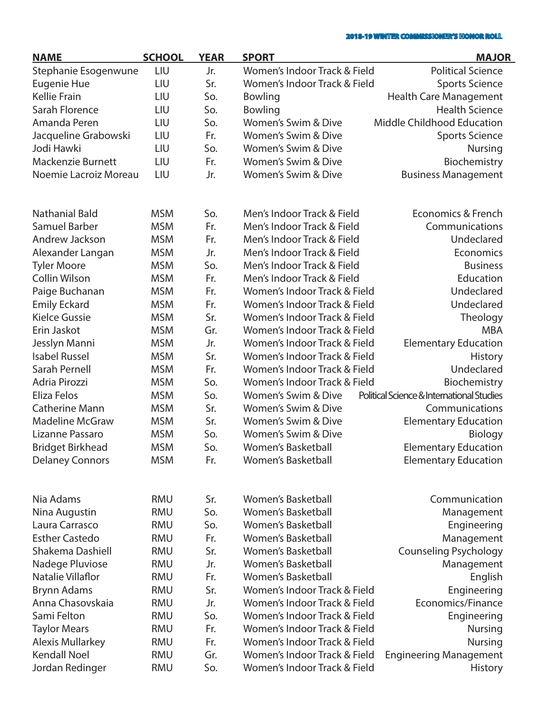| <b>NAME</b>              | <b>SCHOOL</b> | <b>YEAR</b> | <b>SPORT</b>                 | <b>MAJOR</b>                              |
|--------------------------|---------------|-------------|------------------------------|-------------------------------------------|
| Stephanie Esogenwune     | LIU           | Jr.         | Women's Indoor Track & Field | <b>Political Science</b>                  |
| Eugenie Hue              | LIU           | Sr.         | Women's Indoor Track & Field | <b>Sports Science</b>                     |
| <b>Kellie Frain</b>      | LIU           | So.         | <b>Bowling</b>               | <b>Health Care Management</b>             |
| Sarah Florence           | LIU           | So.         | <b>Bowling</b>               | <b>Health Science</b>                     |
| Amanda Peren             | LIU           | So.         | Women's Swim & Dive          | <b>Middle Childhood Education</b>         |
| Jacqueline Grabowski     | LIU           | Fr.         | Women's Swim & Dive          | <b>Sports Science</b>                     |
| Jodi Hawki               | LIU           | So.         | Women's Swim & Dive          | <b>Nursing</b>                            |
| <b>Mackenzie Burnett</b> | LIU           | Fr.         | Women's Swim & Dive          | Biochemistry                              |
| Noemie Lacroiz Moreau    | LIU           | Jr.         | Women's Swim & Dive          | <b>Business Management</b>                |
|                          |               |             |                              |                                           |
| <b>Nathanial Bald</b>    | <b>MSM</b>    | So.         | Men's Indoor Track & Field   | Economics & French                        |
| <b>Samuel Barber</b>     | <b>MSM</b>    | Fr.         | Men's Indoor Track & Field   | Communications                            |
| Andrew Jackson           | <b>MSM</b>    | Fr.         | Men's Indoor Track & Field   | Undeclared                                |
| Alexander Langan         | <b>MSM</b>    | Jr.         | Men's Indoor Track & Field   | Economics                                 |
| <b>Tyler Moore</b>       | <b>MSM</b>    | So.         | Men's Indoor Track & Field   | <b>Business</b>                           |
| <b>Collin Wilson</b>     | <b>MSM</b>    | Fr.         | Men's Indoor Track & Field   | Education                                 |
| Paige Buchanan           | <b>MSM</b>    | Fr.         | Women's Indoor Track & Field | Undeclared                                |
| <b>Emily Eckard</b>      | <b>MSM</b>    | Fr.         | Women's Indoor Track & Field | Undeclared                                |
| <b>Kielce Gussie</b>     | <b>MSM</b>    | Sr.         | Women's Indoor Track & Field | Theology                                  |
| Erin Jaskot              | <b>MSM</b>    | Gr.         | Women's Indoor Track & Field | <b>MBA</b>                                |
| Jesslyn Manni            | <b>MSM</b>    | Jr.         | Women's Indoor Track & Field | <b>Elementary Education</b>               |
| <b>Isabel Russel</b>     | <b>MSM</b>    | Sr.         | Women's Indoor Track & Field | <b>History</b>                            |
| Sarah Pernell            | <b>MSM</b>    | Fr.         | Women's Indoor Track & Field | Undeclared                                |
| Adria Pirozzi            | <b>MSM</b>    | So.         | Women's Indoor Track & Field | Biochemistry                              |
| Eliza Felos              | <b>MSM</b>    | So.         | Women's Swim & Dive          | Political Science & International Studies |
| <b>Catherine Mann</b>    | <b>MSM</b>    | Sr.         | Women's Swim & Dive          | Communications                            |
| <b>Madeline McGraw</b>   | <b>MSM</b>    | Sr.         | Women's Swim & Dive          | <b>Elementary Education</b>               |
| Lizanne Passaro          | <b>MSM</b>    | So.         | Women's Swim & Dive          | <b>Biology</b>                            |
| <b>Bridget Birkhead</b>  | <b>MSM</b>    | So.         | <b>Women's Basketball</b>    | <b>Elementary Education</b>               |
| <b>Delaney Connors</b>   | <b>MSM</b>    | Fr.         | <b>Women's Basketball</b>    | <b>Elementary Education</b>               |
|                          |               |             |                              |                                           |
| Nia Adams                | <b>RMU</b>    | Sr.         | Women's Basketball           | Communication                             |
| Nina Augustin            | <b>RMU</b>    | So.         | <b>Women's Basketball</b>    | Management                                |
| Laura Carrasco           | <b>RMU</b>    | So.         | <b>Women's Basketball</b>    | Engineering                               |
| <b>Esther Castedo</b>    | <b>RMU</b>    | Fr.         | <b>Women's Basketball</b>    | Management                                |
| Shakema Dashiell         | <b>RMU</b>    | Sr.         | Women's Basketball           | <b>Counseling Psychology</b>              |
| Nadege Pluviose          | <b>RMU</b>    | Jr.         | <b>Women's Basketball</b>    | Management                                |
| Natalie Villaflor        | <b>RMU</b>    | Fr.         | <b>Women's Basketball</b>    | English                                   |
| <b>Brynn Adams</b>       | <b>RMU</b>    | Sr.         | Women's Indoor Track & Field | Engineering                               |
| Anna Chasovskaia         | <b>RMU</b>    | Jr.         | Women's Indoor Track & Field | Economics/Finance                         |
| Sami Felton              | <b>RMU</b>    | So.         | Women's Indoor Track & Field | Engineering                               |
| <b>Taylor Mears</b>      | <b>RMU</b>    | Fr.         | Women's Indoor Track & Field | <b>Nursing</b>                            |
| <b>Alexis Mullarkey</b>  | <b>RMU</b>    | Fr.         | Women's Indoor Track & Field | Nursing                                   |
| <b>Kendall Noel</b>      | <b>RMU</b>    | Gr.         | Women's Indoor Track & Field | <b>Engineering Management</b>             |
| Jordan Redinger          | <b>RMU</b>    | So.         | Women's Indoor Track & Field | <b>History</b>                            |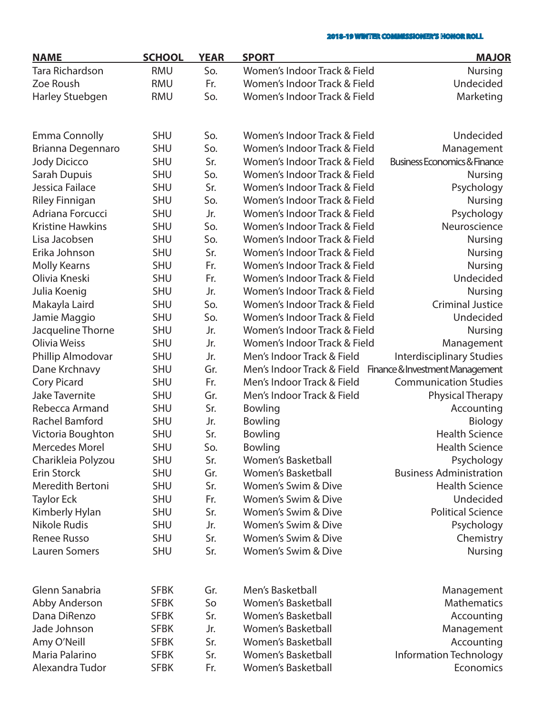| <b>NAME</b>             | <b>SCHOOL</b> | <b>YEAR</b> | <b>SPORT</b>                 | <b>MAJOR</b>                            |
|-------------------------|---------------|-------------|------------------------------|-----------------------------------------|
| <b>Tara Richardson</b>  | <b>RMU</b>    | So.         | Women's Indoor Track & Field | <b>Nursing</b>                          |
| Zoe Roush               | <b>RMU</b>    | Fr.         | Women's Indoor Track & Field | Undecided                               |
| Harley Stuebgen         | <b>RMU</b>    | So.         | Women's Indoor Track & Field | Marketing                               |
|                         |               |             |                              |                                         |
| <b>Emma Connolly</b>    | <b>SHU</b>    | So.         | Women's Indoor Track & Field | Undecided                               |
| Brianna Degennaro       | <b>SHU</b>    | So.         | Women's Indoor Track & Field | Management                              |
| <b>Jody Dicicco</b>     | <b>SHU</b>    | Sr.         | Women's Indoor Track & Field | <b>Business Economics &amp; Finance</b> |
| Sarah Dupuis            | <b>SHU</b>    | So.         | Women's Indoor Track & Field | <b>Nursing</b>                          |
| Jessica Failace         | <b>SHU</b>    | Sr.         | Women's Indoor Track & Field | Psychology                              |
| <b>Riley Finnigan</b>   | <b>SHU</b>    | So.         | Women's Indoor Track & Field | <b>Nursing</b>                          |
| Adriana Forcucci        | <b>SHU</b>    | Jr.         | Women's Indoor Track & Field | Psychology                              |
| <b>Kristine Hawkins</b> | <b>SHU</b>    | So.         | Women's Indoor Track & Field | Neuroscience                            |
| Lisa Jacobsen           | <b>SHU</b>    | So.         | Women's Indoor Track & Field | <b>Nursing</b>                          |
| Erika Johnson           | <b>SHU</b>    | Sr.         | Women's Indoor Track & Field | <b>Nursing</b>                          |
| <b>Molly Kearns</b>     | <b>SHU</b>    | Fr.         | Women's Indoor Track & Field | <b>Nursing</b>                          |
| Olivia Kneski           | <b>SHU</b>    | Fr.         | Women's Indoor Track & Field | Undecided                               |
| Julia Koenig            | <b>SHU</b>    | Jr.         | Women's Indoor Track & Field | <b>Nursing</b>                          |
| Makayla Laird           | <b>SHU</b>    | So.         | Women's Indoor Track & Field | <b>Criminal Justice</b>                 |
| Jamie Maggio            | <b>SHU</b>    | So.         | Women's Indoor Track & Field | Undecided                               |
| Jacqueline Thorne       | <b>SHU</b>    | Jr.         | Women's Indoor Track & Field | <b>Nursing</b>                          |
| Olivia Weiss            | <b>SHU</b>    | Jr.         | Women's Indoor Track & Field | Management                              |
| Phillip Almodovar       | <b>SHU</b>    | Jr.         | Men's Indoor Track & Field   | <b>Interdisciplinary Studies</b>        |
| Dane Krchnavy           | <b>SHU</b>    | Gr.         | Men's Indoor Track & Field   | Finance & Investment Management         |
| <b>Cory Picard</b>      | <b>SHU</b>    | Fr.         | Men's Indoor Track & Field   | <b>Communication Studies</b>            |
| <b>Jake Tavernite</b>   | <b>SHU</b>    | Gr.         | Men's Indoor Track & Field   | <b>Physical Therapy</b>                 |
| Rebecca Armand          | <b>SHU</b>    | Sr.         | Bowling                      | Accounting                              |
| Rachel Bamford          | <b>SHU</b>    | Jr.         | <b>Bowling</b>               | Biology                                 |
| Victoria Boughton       | <b>SHU</b>    | Sr.         | <b>Bowling</b>               | <b>Health Science</b>                   |
| <b>Mercedes Morel</b>   | <b>SHU</b>    | So.         | <b>Bowling</b>               | <b>Health Science</b>                   |
| Charikleia Polyzou      | <b>SHU</b>    | Sr.         | <b>Women's Basketball</b>    | Psychology                              |
| <b>Erin Storck</b>      | <b>SHU</b>    | Gr.         | <b>Women's Basketball</b>    | <b>Business Administration</b>          |
| Meredith Bertoni        | <b>SHU</b>    | Sr.         | Women's Swim & Dive          | <b>Health Science</b>                   |
| <b>Taylor Eck</b>       | <b>SHU</b>    | Fr.         | Women's Swim & Dive          | Undecided                               |
| Kimberly Hylan          | <b>SHU</b>    | Sr.         | Women's Swim & Dive          | <b>Political Science</b>                |
| <b>Nikole Rudis</b>     | <b>SHU</b>    | Jr.         | Women's Swim & Dive          | Psychology                              |
| <b>Renee Russo</b>      | <b>SHU</b>    | Sr.         | Women's Swim & Dive          | Chemistry                               |
| <b>Lauren Somers</b>    | <b>SHU</b>    | Sr.         | Women's Swim & Dive          | <b>Nursing</b>                          |
|                         |               |             |                              |                                         |
| Glenn Sanabria          | <b>SFBK</b>   | Gr.         | Men's Basketball             | Management                              |
| Abby Anderson           | <b>SFBK</b>   | So          | <b>Women's Basketball</b>    | <b>Mathematics</b>                      |
| Dana DiRenzo            | <b>SFBK</b>   | Sr.         | <b>Women's Basketball</b>    | Accounting                              |
| Jade Johnson            | <b>SFBK</b>   | Jr.         | <b>Women's Basketball</b>    | Management                              |
| Amy O'Neill             | <b>SFBK</b>   | Sr.         | <b>Women's Basketball</b>    | Accounting                              |
| Maria Palarino          | <b>SFBK</b>   | Sr.         | Women's Basketball           | <b>Information Technology</b>           |
| Alexandra Tudor         | <b>SFBK</b>   | Fr.         | Women's Basketball           | Economics                               |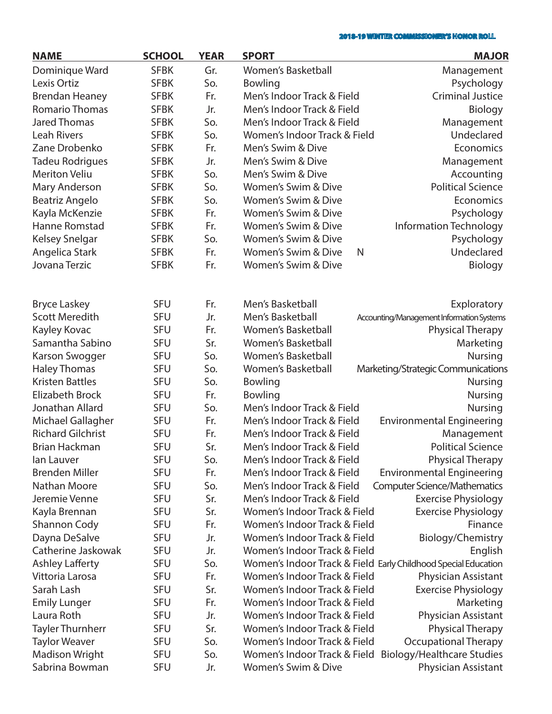| <b>NAME</b>              | <b>SCHOOL</b> | <b>YEAR</b> | <b>SPORT</b>                 | <b>MAJOR</b>                                                   |
|--------------------------|---------------|-------------|------------------------------|----------------------------------------------------------------|
| Dominique Ward           | <b>SFBK</b>   | Gr.         | <b>Women's Basketball</b>    | Management                                                     |
| Lexis Ortiz              | <b>SFBK</b>   | So.         | <b>Bowling</b>               | Psychology                                                     |
| <b>Brendan Heaney</b>    | <b>SFBK</b>   | Fr.         | Men's Indoor Track & Field   | <b>Criminal Justice</b>                                        |
| <b>Romario Thomas</b>    | <b>SFBK</b>   | Jr.         | Men's Indoor Track & Field   | Biology                                                        |
| <b>Jared Thomas</b>      | <b>SFBK</b>   | So.         | Men's Indoor Track & Field   | Management                                                     |
| <b>Leah Rivers</b>       | <b>SFBK</b>   | So.         | Women's Indoor Track & Field | Undeclared                                                     |
| Zane Drobenko            | <b>SFBK</b>   | Fr.         | Men's Swim & Dive            | Economics                                                      |
| Tadeu Rodrigues          | <b>SFBK</b>   | Jr.         | Men's Swim & Dive            | Management                                                     |
| <b>Meriton Veliu</b>     | <b>SFBK</b>   | So.         | Men's Swim & Dive            | Accounting                                                     |
| Mary Anderson            | <b>SFBK</b>   | So.         | Women's Swim & Dive          | <b>Political Science</b>                                       |
| Beatriz Angelo           | <b>SFBK</b>   | So.         | Women's Swim & Dive          | Economics                                                      |
| Kayla McKenzie           | <b>SFBK</b>   | Fr.         | Women's Swim & Dive          | Psychology                                                     |
| Hanne Romstad            | <b>SFBK</b>   | Fr.         | Women's Swim & Dive          | <b>Information Technology</b>                                  |
| Kelsey Snelgar           | <b>SFBK</b>   | So.         | Women's Swim & Dive          | Psychology                                                     |
| Angelica Stark           | <b>SFBK</b>   | Fr.         | Women's Swim & Dive<br>N     | Undeclared                                                     |
| Jovana Terzic            | <b>SFBK</b>   | Fr.         | Women's Swim & Dive          | Biology                                                        |
|                          |               |             |                              |                                                                |
| <b>Bryce Laskey</b>      | <b>SFU</b>    | Fr.         | Men's Basketball             | Exploratory                                                    |
| <b>Scott Meredith</b>    | <b>SFU</b>    | Jr.         | Men's Basketball             | Accounting/Management Information Systems                      |
| Kayley Kovac             | <b>SFU</b>    | Fr.         | <b>Women's Basketball</b>    | <b>Physical Therapy</b>                                        |
| Samantha Sabino          | <b>SFU</b>    | Sr.         | <b>Women's Basketball</b>    | Marketing                                                      |
| Karson Swogger           | <b>SFU</b>    | So.         | <b>Women's Basketball</b>    | <b>Nursing</b>                                                 |
| <b>Haley Thomas</b>      | <b>SFU</b>    | So.         | <b>Women's Basketball</b>    | Marketing/Strategic Communications                             |
| <b>Kristen Battles</b>   | <b>SFU</b>    | So.         | Bowling                      | <b>Nursing</b>                                                 |
| <b>Elizabeth Brock</b>   | <b>SFU</b>    | Fr.         | Bowling                      | <b>Nursing</b>                                                 |
| Jonathan Allard          | <b>SFU</b>    | So.         | Men's Indoor Track & Field   | <b>Nursing</b>                                                 |
| Michael Gallagher        | <b>SFU</b>    | Fr.         | Men's Indoor Track & Field   | <b>Environmental Engineering</b>                               |
| <b>Richard Gilchrist</b> | <b>SFU</b>    | Fr.         | Men's Indoor Track & Field   | Management                                                     |
| <b>Brian Hackman</b>     | <b>SFU</b>    | Sr.         | Men's Indoor Track & Field   | <b>Political Science</b>                                       |
| lan Lauver               | <b>SFU</b>    | So.         | Men's Indoor Track & Field   | <b>Physical Therapy</b>                                        |
| <b>Brenden Miller</b>    | <b>SFU</b>    | Fr.         | Men's Indoor Track & Field   | <b>Environmental Engineering</b>                               |
| Nathan Moore             | <b>SFU</b>    | So.         | Men's Indoor Track & Field   | <b>Computer Science/Mathematics</b>                            |
| Jeremie Venne            | <b>SFU</b>    | Sr.         | Men's Indoor Track & Field   | <b>Exercise Physiology</b>                                     |
| Kayla Brennan            | <b>SFU</b>    | Sr.         | Women's Indoor Track & Field | <b>Exercise Physiology</b>                                     |
| <b>Shannon Cody</b>      | <b>SFU</b>    | Fr.         | Women's Indoor Track & Field | Finance                                                        |
| Dayna DeSalve            | <b>SFU</b>    | Jr.         | Women's Indoor Track & Field | Biology/Chemistry                                              |
| Catherine Jaskowak       | <b>SFU</b>    | Jr.         | Women's Indoor Track & Field | English                                                        |
| <b>Ashley Lafferty</b>   | <b>SFU</b>    | So.         |                              | Women's Indoor Track & Field Early Childhood Special Education |
| Vittoria Larosa          | <b>SFU</b>    | Fr.         | Women's Indoor Track & Field | Physician Assistant                                            |
| Sarah Lash               | <b>SFU</b>    | Sr.         | Women's Indoor Track & Field | <b>Exercise Physiology</b>                                     |
| <b>Emily Lunger</b>      | <b>SFU</b>    | Fr.         | Women's Indoor Track & Field | Marketing                                                      |
| Laura Roth               | <b>SFU</b>    | Jr.         | Women's Indoor Track & Field | Physician Assistant                                            |
| <b>Tayler Thurnherr</b>  | <b>SFU</b>    | Sr.         | Women's Indoor Track & Field | <b>Physical Therapy</b>                                        |
| <b>Taylor Weaver</b>     | <b>SFU</b>    | So.         | Women's Indoor Track & Field | <b>Occupational Therapy</b>                                    |
| <b>Madison Wright</b>    | <b>SFU</b>    | So.         | Women's Indoor Track & Field | <b>Biology/Healthcare Studies</b>                              |
| Sabrina Bowman           | <b>SFU</b>    | Jr.         | Women's Swim & Dive          | Physician Assistant                                            |